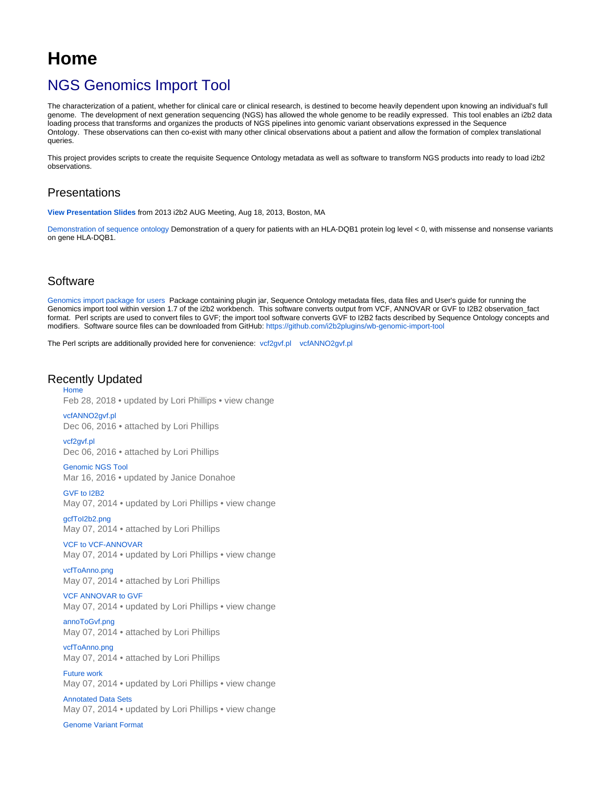# <span id="page-0-0"></span>**Home**

## NGS Genomics Import Tool

The characterization of a patient, whether for clinical care or clinical research, is destined to become heavily dependent upon knowing an individual's full genome. The development of next generation sequencing (NGS) has allowed the whole genome to be readily expressed. This tool enables an i2b2 data loading process that transforms and organizes the products of NGS pipelines into genomic variant observations expressed in the Sequence Ontology. These observations can then co-exist with many other clinical observations about a patient and allow the formation of complex translational queries.

This project provides scripts to create the requisite Sequence Ontology metadata as well as software to transform NGS products into ready to load i2b2 observations.

## Presentations

**[View Presentation Slides](https://community.i2b2.org/wiki/download/attachments/336064/genomics-AUG-June-v2.pptx?version=1&modificationDate=1383131113000&api=v2)** from 2013 i2b2 AUG Meeting, Aug 18, 2013, Boston, MA

[Demonstration of sequence ontology](https://youtu.be/0pZsuw9S1G0) Demonstration of a query for patients with an HLA-DQB1 protein log level < 0, with missense and nonsense variants on gene HLA-DQB1.

## **Software**

[Genomics import package for users](https://community.i2b2.org/wiki/download/attachments/336064/GenomicsImportPackage.zip?version=2&modificationDate=1384250068000&api=v2) Package containing plugin jar, Sequence Ontology metadata files, data files and User's guide for running the Genomics import tool within version 1.7 of the i2b2 workbench. This software converts output from VCF, ANNOVAR or GVF to I2B2 observation\_fact format. Perl scripts are used to convert files to GVF; the import tool software converts GVF to I2B2 facts described by Sequence Ontology concepts and modifiers. Software source files can be downloaded from GitHub[: https://github.com/i2b2plugins/wb-genomic-import-tool](https://github.com/i2b2plugins/wb-genomic-import-tool)

The Perl scripts are additionally provided here for convenience: [vcf2gvf.pl](https://community.i2b2.org/wiki/download/attachments/336064/vcf2gvf.pl?version=1&modificationDate=1481050658244&api=v2) [vcfANNO2gvf.pl](https://community.i2b2.org/wiki/download/attachments/336064/vcfANNO2gvf.pl?version=1&modificationDate=1481050658734&api=v2)

#### Recently Updated [Home](#page-0-0)

Feb 28, 2018 • updated by [Lori Phillips](https://community.i2b2.org/wiki/display/~lcp5) • [view change](https://community.i2b2.org/wiki/pages/diffpagesbyversion.action?pageId=336064&selectedPageVersions=11&selectedPageVersions=10)

[vcfANNO2gvf.pl](#page-0-0) Dec 06, 2016 • attached by [Lori Phillips](https://community.i2b2.org/wiki/display/~lcp5) [vcf2gvf.pl](#page-0-0)

Dec 06, 2016 • attached by [Lori Phillips](https://community.i2b2.org/wiki/display/~lcp5)

[Genomic NGS Tool](https://community.i2b2.org/wiki/display/GIT) Mar 16, 2016 • updated by [Janice Donahoe](https://community.i2b2.org/wiki/display/~jmd86)

[GVF to I2B2](https://community.i2b2.org/wiki/display/GIT/GVF+to+I2B2) May 07, 2014 • updated by [Lori Phillips](https://community.i2b2.org/wiki/display/~lcp5) • [view change](https://community.i2b2.org/wiki/pages/diffpagesbyversion.action?pageId=336061&selectedPageVersions=2&selectedPageVersions=1)

[gcfToI2b2.png](https://community.i2b2.org/wiki/display/GIT/GVF+to+I2B2?preview=%2F336061%2F336104%2FgcfToI2b2.png) May 07, 2014 • attached by [Lori Phillips](https://community.i2b2.org/wiki/display/~lcp5)

#### [VCF to VCF-ANNOVAR](https://community.i2b2.org/wiki/display/GIT/VCF+to+VCF-ANNOVAR)

May 07, 2014 • updated by [Lori Phillips](https://community.i2b2.org/wiki/display/~lcp5) • [view change](https://community.i2b2.org/wiki/pages/diffpagesbyversion.action?pageId=336060&selectedPageVersions=3&selectedPageVersions=2)

[vcfToAnno.png](https://community.i2b2.org/wiki/display/GIT/VCF+to+VCF-ANNOVAR?preview=%2F336060%2F336105%2FvcfToAnno.png) May 07, 2014 • attached by [Lori Phillips](https://community.i2b2.org/wiki/display/~lcp5)

### [VCF ANNOVAR to GVF](https://community.i2b2.org/wiki/display/GIT/VCF+ANNOVAR+to+GVF)

May 07, 2014 • updated by [Lori Phillips](https://community.i2b2.org/wiki/display/~lcp5) • [view change](https://community.i2b2.org/wiki/pages/diffpagesbyversion.action?pageId=336059&selectedPageVersions=3&selectedPageVersions=2)

[annoToGvf.png](https://community.i2b2.org/wiki/display/GIT/VCF+ANNOVAR+to+GVF?preview=%2F336059%2F336100%2FannoToGvf.png) May 07, 2014 • attached by [Lori Phillips](https://community.i2b2.org/wiki/display/~lcp5)

[vcfToAnno.png](https://community.i2b2.org/wiki/display/GIT/VCF+ANNOVAR+to+GVF?preview=%2F336059%2F336101%2FvcfToAnno.png) May 07, 2014 • attached by [Lori Phillips](https://community.i2b2.org/wiki/display/~lcp5)

[Future work](https://community.i2b2.org/wiki/display/GIT/Future+work) May 07, 2014 • updated by [Lori Phillips](https://community.i2b2.org/wiki/display/~lcp5) • [view change](https://community.i2b2.org/wiki/pages/diffpagesbyversion.action?pageId=336063&selectedPageVersions=2&selectedPageVersions=1)

[Annotated Data Sets](https://community.i2b2.org/wiki/display/GIT/Annotated+Data+Sets) May 07, 2014 • updated by [Lori Phillips](https://community.i2b2.org/wiki/display/~lcp5) • [view change](https://community.i2b2.org/wiki/pages/diffpagesbyversion.action?pageId=336057&selectedPageVersions=4&selectedPageVersions=3)

[Genome Variant Format](https://community.i2b2.org/wiki/display/GIT/Genome+Variant+Format)